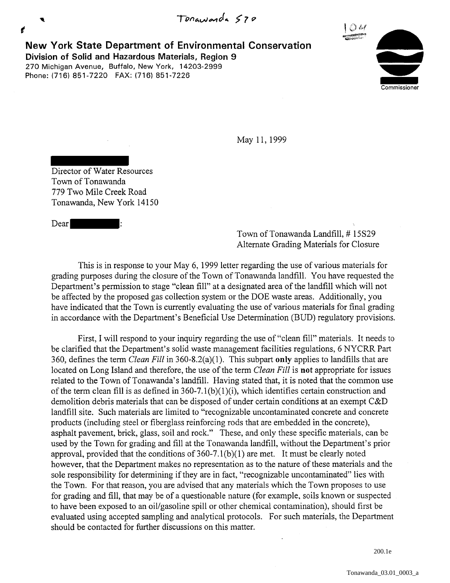**New York State Department of Environmental Conservation Dividends of Solid and Hazardous Materials, Region 9**<br> **Division of Solid and Hazardous Materials, Region 9**<br>
270 Michigan Avenue, Buffalo, New York, 14203-2999 Phone: (716) 851-7220 FAX: (716) 851-7226 270 Michigan Avenue, Buffalo, New York, 14203-2999



May 11, 1999

Director of Water Resources Town of Tonawanda 779 Two Mile Creek Road Tonawanda, New York 14150

Dear |

**'** 

€

Town of Tonawanda Landfill, #15S29 Alternate Grading Materials for Closure

This is in response to your May 6, 1999 letter regarding the use of various materials for grading purposes during the closure of the Town of Tonawanda landfill. You have requested the Department's permission to stage "clean fill" at a designated area of the landfill which will not be affected by the proposed gas collection system or the DOE waste areas. Additionally, you have indicated that the Town is currently evaluating the use of various materials for final grading in accordance with the Department's Beneficial Use Determination (BUD) regulatory provisions.

First, I will respond to your inquiry regarding the use of "clean fill" materials. It needs to be clarified that the Department's solid waste management facilities regulations, 6 NYCRR Part 360, defines the term *Clean Fill* in 360-8.2(a)(l). This subpart **only** applies to landfills that are located on Long Island and therefore, the use of the term *Clean Fill* is **not** appropriate for issues related to the Town of Tonawanda's landfill. Having stated that, it is noted that the common use of the term clean fill is as defined in  $360-7.1(b)(1)(i)$ , which identifies certain construction and demolition debris materials that can be disposed of under certain conditions at an exempt C&D landfill site. Such materials are limited to "recognizable uncontaminated concrete and concrete products (including steel or fiberglass reinforcing rods that are embedded in the concrete), asphalt pavement, brick, glass, soil and rock." These, and only these specific materials, can be used by the Town for grading and fill at the Tonawanda landfill, without the Department's prior approval, provided that the conditions of  $360-7.1(b)(1)$  are met. It must be clearly noted however, that the Department makes no representation as to the nature of these materials and the sole responsibility for determining if they are in fact, "recognizable uncontaminated" lies with the Town. For that reason, you are advised that any materials which the Town proposes to use for grading and fill, that may be of a questionable nature (for example, soils known or suspected to have been exposed to an oil/gasoline spill or other chemical contamination), should first be evaluated using accepted sampling and analytical protocols. For such materials, the Department should be contacted for further discussions on this matter.